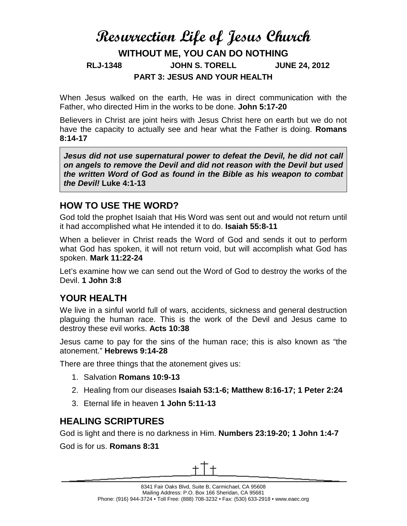# **Resurrection Life of Jesus Church WITHOUT ME, YOU CAN DO NOTHING RLJ-1348 JOHN S. TORELL JUNE 24, 2012 PART 3: JESUS AND YOUR HEALTH**

When Jesus walked on the earth, He was in direct communication with the Father, who directed Him in the works to be done. **John 5:17-20**

Believers in Christ are joint heirs with Jesus Christ here on earth but we do not have the capacity to actually see and hear what the Father is doing. **Romans 8:14-17**

*Jesus did not use supernatural power to defeat the Devil, he did not call on angels to remove the Devil and did not reason with the Devil but used the written Word of God as found in the Bible as his weapon to combat the Devil!* **Luke 4:1-13**

## **HOW TO USE THE WORD?**

God told the prophet Isaiah that His Word was sent out and would not return until it had accomplished what He intended it to do. **Isaiah 55:8-11**

When a believer in Christ reads the Word of God and sends it out to perform what God has spoken, it will not return void, but will accomplish what God has spoken. **Mark 11:22-24**

Let's examine how we can send out the Word of God to destroy the works of the Devil. **1 John 3:8**

### **YOUR HEALTH**

We live in a sinful world full of wars, accidents, sickness and general destruction plaguing the human race. This is the work of the Devil and Jesus came to destroy these evil works. **Acts 10:38**

Jesus came to pay for the sins of the human race; this is also known as "the atonement." **Hebrews 9:14-28**

There are three things that the atonement gives us:

- 1. Salvation **Romans 10:9-13**
- 2. Healing from our diseases **Isaiah 53:1-6; Matthew 8:16-17; 1 Peter 2:24**
- 3. Eternal life in heaven **1 John 5:11-13**

# **HEALING SCRIPTURES**

God is light and there is no darkness in Him. **Numbers 23:19-20; 1 John 1:4-7**

God is for us. **Romans 8:31**